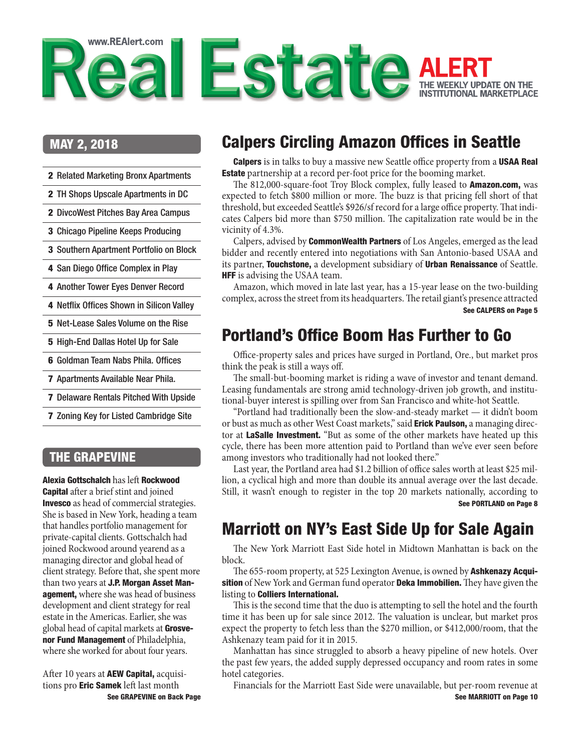<span id="page-0-0"></span>

### MAY 2, 2018

- 2 [Related Marketing Bronx Apartments](#page-1-0)
- 2 [TH Shops Upscale Apartments in DC](#page-1-0)
- 2 [DivcoWest Pitches Bay Area Campus](#page-1-0)
- 3 [Chicago Pipeline Keeps Producing](#page-2-0)
- 3 [Southern Apartment Portfolio on Block](#page-2-0)
- 4 [San Diego Office Complex in Play](#page-3-0)

4 [Another Tower Eyes Denver Record](#page-3-0)

- 4 [Netflix Offices Shown in Silicon Valley](#page-3-0)
- 5 [Net-Lease Sales Volume on the Rise](#page-4-0)
- 5 [High-End Dallas Hotel Up for Sale](#page-4-0)
- 6 [Goldman Team Nabs Phila. Offices](#page-5-0)
- 7 [Apartments Available Near Phila.](#page-6-0)
- 7 [Delaware Rentals Pitched With Upside](#page-6-0)
- 7 [Zoning Key for Listed Cambridge Site](#page-6-0)

### THE GRAPEVINE

Alexia Gottschalch has left Rockwood Capital after a brief stint and joined **Invesco** as head of commercial strategies. She is based in New York, heading a team that handles portfolio management for private-capital clients. Gottschalch had joined Rockwood around yearend as a managing director and global head of client strategy. Before that, she spent more than two years at **J.P. Morgan Asset Man**agement, where she was head of business development and client strategy for real estate in the Americas. Earlier, she was global head of capital markets at Grosvenor Fund Management of Philadelphia, where she worked for about four years.

[See GRAPEVINE on Back Page](#page-11-0) After 10 years at **AEW Capital**, acquisitions pro **Eric Samek** left last month

# Calpers Circling Amazon Offices in Seattle

Calpers is in talks to buy a massive new Seattle office property from a USAA Real **Estate** partnership at a record per-foot price for the booming market.

The 812,000-square-foot Troy Block complex, fully leased to **Amazon.com**, was expected to fetch \$800 million or more. The buzz is that pricing fell short of that threshold, but exceeded Seattle's \$926/sf record for a large office property. That indicates Calpers bid more than \$750 million. The capitalization rate would be in the vicinity of 4.3%.

Calpers, advised by **CommonWealth Partners** of Los Angeles, emerged as the lead bidder and recently entered into negotiations with San Antonio-based USAA and its partner, **Touchstone**, a development subsidiary of **Urban Renaissance** of Seattle. HFF is advising the USAA team.

Amazon, which moved in late last year, has a 15-year lease on the two-building complex, across the street from its headquarters. The retail giant's presence attracted [See CALPERS on Page 5](#page-4-0)

# Portland's Office Boom Has Further to Go

Office-property sales and prices have surged in Portland, Ore., but market pros think the peak is still a ways off.

The small-but-booming market is riding a wave of investor and tenant demand. Leasing fundamentals are strong amid technology-driven job growth, and institutional-buyer interest is spilling over from San Francisco and white-hot Seattle.

"Portland had traditionally been the slow-and-steady market — it didn't boom or bust as much as other West Coast markets," said **Erick Paulson**, a managing director at **LaSalle Investment.** "But as some of the other markets have heated up this cycle, there has been more attention paid to Portland than we've ever seen before among investors who traditionally had not looked there."

Last year, the Portland area had \$1.2 billion of office sales worth at least \$25 million, a cyclical high and more than double its annual average over the last decade. Still, it wasn't enough to register in the top 20 markets nationally, according to [See PORTLAND on Page 8](#page-7-0)

# Marriott on NY's East Side Up for Sale Again

The New York Marriott East Side hotel in Midtown Manhattan is back on the block.

The 655-room property, at 525 Lexington Avenue, is owned by **Ashkenazy Acquisition** of New York and German fund operator **Deka Immobilien.** They have given the listing to Colliers International.

This is the second time that the duo is attempting to sell the hotel and the fourth time it has been up for sale since 2012. The valuation is unclear, but market pros expect the property to fetch less than the \$270 million, or \$412,000/room, that the Ashkenazy team paid for it in 2015.

Manhattan has since struggled to absorb a heavy pipeline of new hotels. Over the past few years, the added supply depressed occupancy and room rates in some hotel categories.

Financials for the Marriott East Side were unavailable, but per-room revenue at [See MARRIOTT on Page 10](#page-9-0)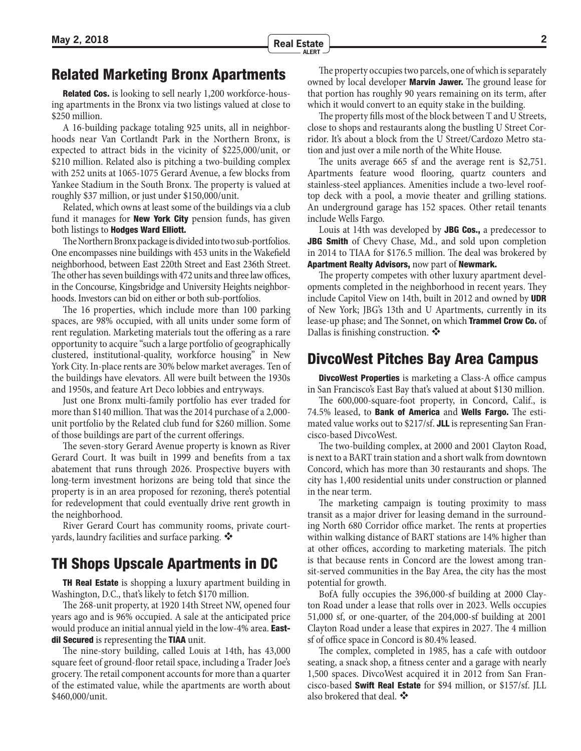## <span id="page-1-0"></span>Related Marketing Bronx Apartments

Related Cos. is looking to sell nearly 1,200 workforce-housing apartments in the Bronx via two listings valued at close to \$250 million.

A 16-building package totaling 925 units, all in neighborhoods near Van Cortlandt Park in the Northern Bronx, is expected to attract bids in the vicinity of \$225,000/unit, or \$210 million. Related also is pitching a two-building complex with 252 units at 1065-1075 Gerard Avenue, a few blocks from Yankee Stadium in the South Bronx. The property is valued at roughly \$37 million, or just under \$150,000/unit.

Related, which owns at least some of the buildings via a club fund it manages for **New York City** pension funds, has given both listings to **Hodges Ward Elliott.** 

The Northern Bronx package is divided into two sub-portfolios. One encompasses nine buildings with 453 units in the Wakefield neighborhood, between East 220th Street and East 236th Street. The other has seven buildings with 472 units and three law offices, in the Concourse, Kingsbridge and University Heights neighborhoods. Investors can bid on either or both sub-portfolios.

The 16 properties, which include more than 100 parking spaces, are 98% occupied, with all units under some form of rent regulation. Marketing materials tout the offering as a rare opportunity to acquire "such a large portfolio of geographically clustered, institutional-quality, workforce housing" in New York City. In-place rents are 30% below market averages. Ten of the buildings have elevators. All were built between the 1930s and 1950s, and feature Art Deco lobbies and entryways.

Just one Bronx multi-family portfolio has ever traded for more than \$140 million. That was the 2014 purchase of a 2,000 unit portfolio by the Related club fund for \$260 million. Some of those buildings are part of the current offerings.

The seven-story Gerard Avenue property is known as River Gerard Court. It was built in 1999 and benefits from a tax abatement that runs through 2026. Prospective buyers with long-term investment horizons are being told that since the property is in an area proposed for rezoning, there's potential for redevelopment that could eventually drive rent growth in the neighborhood.

River Gerard Court has community rooms, private courtyards, laundry facilities and surface parking.

### TH Shops Upscale Apartments in DC

**TH Real Estate** is shopping a luxury apartment building in Washington, D.C., that's likely to fetch \$170 million.

The 268-unit property, at 1920 14th Street NW, opened four years ago and is 96% occupied. A sale at the anticipated price would produce an initial annual yield in the low-4% area. **East**dil Secured is representing the TIAA unit.

The nine-story building, called Louis at 14th, has 43,000 square feet of ground-floor retail space, including a Trader Joe's grocery. The retail component accounts for more than a quarter of the estimated value, while the apartments are worth about \$460,000/unit.

The property occupies two parcels, one of which is separately owned by local developer **Marvin Jawer.** The ground lease for that portion has roughly 90 years remaining on its term, after which it would convert to an equity stake in the building.

The property fills most of the block between T and U Streets, close to shops and restaurants along the bustling U Street Corridor. It's about a block from the U Street/Cardozo Metro station and just over a mile north of the White House.

The units average 665 sf and the average rent is \$2,751. Apartments feature wood flooring, quartz counters and stainless-steel appliances. Amenities include a two-level rooftop deck with a pool, a movie theater and grilling stations. An underground garage has 152 spaces. Other retail tenants include Wells Fargo.

Louis at 14th was developed by JBG Cos., a predecessor to JBG Smith of Chevy Chase, Md., and sold upon completion in 2014 to TIAA for \$176.5 million. The deal was brokered by Apartment Realty Advisors, now part of Newmark.

The property competes with other luxury apartment developments completed in the neighborhood in recent years. They include Capitol View on 14th, built in 2012 and owned by UDR of New York; JBG's 13th and U Apartments, currently in its lease-up phase; and The Sonnet, on which **Trammel Crow Co.** of Dallas is finishing construction.  $\mathbf{\hat{P}}$ 

### DivcoWest Pitches Bay Area Campus

**DivcoWest Properties** is marketing a Class-A office campus in San Francisco's East Bay that's valued at about \$130 million.

The 600,000-square-foot property, in Concord, Calif., is 74.5% leased, to **Bank of America** and **Wells Fargo.** The estimated value works out to \$217/sf. JLL is representing San Francisco-based DivcoWest.

The two-building complex, at 2000 and 2001 Clayton Road, is next to a BART train station and a short walk from downtown Concord, which has more than 30 restaurants and shops. The city has 1,400 residential units under construction or planned in the near term.

The marketing campaign is touting proximity to mass transit as a major driver for leasing demand in the surrounding North 680 Corridor office market. The rents at properties within walking distance of BART stations are 14% higher than at other offices, according to marketing materials. The pitch is that because rents in Concord are the lowest among transit-served communities in the Bay Area, the city has the most potential for growth.

BofA fully occupies the 396,000-sf building at 2000 Clayton Road under a lease that rolls over in 2023. Wells occupies 51,000 sf, or one-quarter, of the 204,000-sf building at 2001 Clayton Road under a lease that expires in 2027. The 4 million sf of office space in Concord is 80.4% leased.

The complex, completed in 1985, has a cafe with outdoor seating, a snack shop, a fitness center and a garage with nearly 1,500 spaces. DivcoWest acquired it in 2012 from San Francisco-based Swift Real Estate for \$94 million, or \$157/sf. JLL also brokered that deal.  $\ddot{\mathbf{\cdot}}$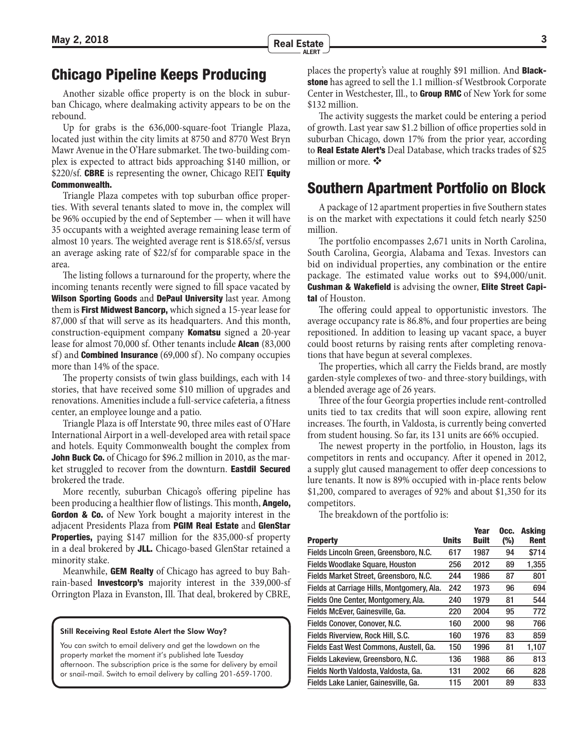## <span id="page-2-0"></span>Chicago Pipeline Keeps Producing

Another sizable office property is on the block in suburban Chicago, where dealmaking activity appears to be on the rebound.

Up for grabs is the 636,000-square-foot Triangle Plaza, located just within the city limits at 8750 and 8770 West Bryn Mawr Avenue in the O'Hare submarket. The two-building complex is expected to attract bids approaching \$140 million, or \$220/sf. CBRE is representing the owner, Chicago REIT Equity Commonwealth.

Triangle Plaza competes with top suburban office properties. With several tenants slated to move in, the complex will be 96% occupied by the end of September — when it will have 35 occupants with a weighted average remaining lease term of almost 10 years. The weighted average rent is \$18.65/sf, versus an average asking rate of \$22/sf for comparable space in the area.

The listing follows a turnaround for the property, where the incoming tenants recently were signed to fill space vacated by Wilson Sporting Goods and DePaul University last year. Among them is **First Midwest Bancorp,** which signed a 15-year lease for 87,000 sf that will serve as its headquarters. And this month, construction-equipment company Komatsu signed a 20-year lease for almost 70,000 sf. Other tenants include **Alcan** (83,000) sf) and Combined Insurance (69,000 sf). No company occupies more than 14% of the space.

The property consists of twin glass buildings, each with 14 stories, that have received some \$10 million of upgrades and renovations. Amenities include a full-service cafeteria, a fitness center, an employee lounge and a patio.

Triangle Plaza is off Interstate 90, three miles east of O'Hare International Airport in a well-developed area with retail space and hotels. Equity Commonwealth bought the complex from **John Buck Co.** of Chicago for \$96.2 million in 2010, as the market struggled to recover from the downturn. Eastdil Secured brokered the trade.

More recently, suburban Chicago's offering pipeline has been producing a healthier flow of listings. This month, **Angelo**, **Gordon & Co.** of New York bought a majority interest in the adjacent Presidents Plaza from PGIM Real Estate and GlenStar **Properties,** paying \$147 million for the 835,000-sf property in a deal brokered by JLL. Chicago-based GlenStar retained a minority stake.

Meanwhile, **GEM Realty** of Chicago has agreed to buy Bahrain-based **Investcorp's** majority interest in the 339,000-sf Orrington Plaza in Evanston, Ill. That deal, brokered by CBRE,

#### Still Receiving Real Estate Alert the Slow Way?

You can switch to email delivery and get the lowdown on the property market the moment it's published late Tuesday afternoon. The subscription price is the same for delivery by email or snail-mail. Switch to email delivery by calling 201-659-1700.

places the property's value at roughly \$91 million. And **Black**stone has agreed to sell the 1.1 million-sf Westbrook Corporate Center in Westchester, Ill., to Group RMC of New York for some \$132 million.

The activity suggests the market could be entering a period of growth. Last year saw \$1.2 billion of office properties sold in suburban Chicago, down 17% from the prior year, according to Real Estate Alert's Deal Database, which tracks trades of \$25 million or more.  $\clubsuit$ 

### Southern Apartment Portfolio on Block

A package of 12 apartment properties in five Southern states is on the market with expectations it could fetch nearly \$250 million.

The portfolio encompasses 2,671 units in North Carolina, South Carolina, Georgia, Alabama and Texas. Investors can bid on individual properties, any combination or the entire package. The estimated value works out to \$94,000/unit. Cushman & Wakefield is advising the owner, Elite Street Capital of Houston.

The offering could appeal to opportunistic investors. The average occupancy rate is 86.8%, and four properties are being repositioned. In addition to leasing up vacant space, a buyer could boost returns by raising rents after completing renovations that have begun at several complexes.

The properties, which all carry the Fields brand, are mostly garden-style complexes of two- and three-story buildings, with a blended average age of 26 years.

Three of the four Georgia properties include rent-controlled units tied to tax credits that will soon expire, allowing rent increases. The fourth, in Valdosta, is currently being converted from student housing. So far, its 131 units are 66% occupied.

The newest property in the portfolio, in Houston, lags its competitors in rents and occupancy. After it opened in 2012, a supply glut caused management to offer deep concessions to lure tenants. It now is 89% occupied with in-place rents below \$1,200, compared to averages of 92% and about \$1,350 for its competitors.

The breakdown of the portfolio is:

|                                            |              | Year         | Occ. | Askina      |
|--------------------------------------------|--------------|--------------|------|-------------|
| <b>Property</b>                            | <b>Units</b> | <b>Built</b> | (%)  | <b>Rent</b> |
| Fields Lincoln Green, Greensboro, N.C.     | 617          | 1987         | 94   | \$714       |
| <b>Fields Woodlake Square, Houston</b>     | 256          | 2012         | 89   | 1,355       |
| Fields Market Street, Greensboro, N.C.     | 244          | 1986         | 87   | 801         |
| Fields at Carriage Hills, Montgomery, Ala. | 242          | 1973         | 96   | 694         |
| Fields One Center, Montgomery, Ala.        | 240          | 1979         | 81   | 544         |
| Fields McEver, Gainesville, Ga.            | 220          | 2004         | 95   | 772         |
| Fields Conover, Conover, N.C.              | 160          | 2000         | 98   | 766         |
| Fields Riverview, Rock Hill, S.C.          | 160          | 1976         | 83   | 859         |
| Fields East West Commons, Austell, Ga.     | 150          | 1996         | 81   | 1.107       |
| Fields Lakeview, Greensboro, N.C.          | 136          | 1988         | 86   | 813         |
| Fields North Valdosta, Valdosta, Ga.       | 131          | 2002         | 66   | 828         |
| Fields Lake Lanier, Gainesville, Ga.       | 115          | 2001         | 89   | 833         |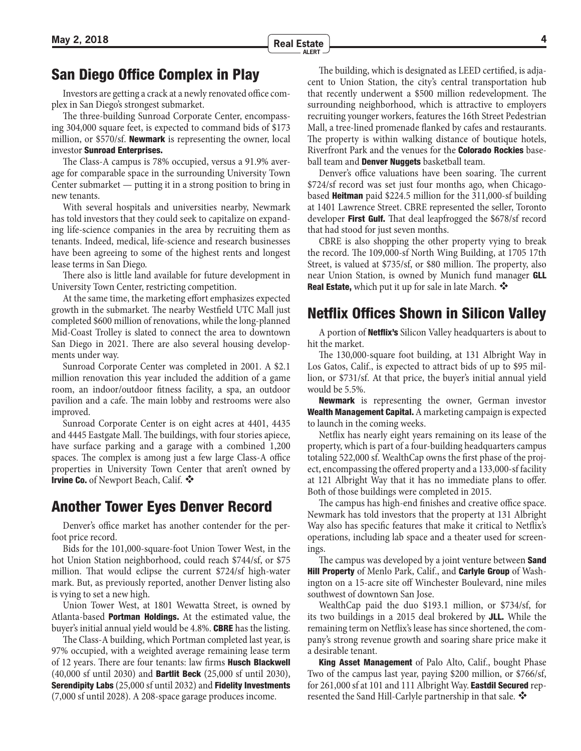## <span id="page-3-0"></span>San Diego Office Complex in Play

Investors are getting a crack at a newly renovated office complex in San Diego's strongest submarket.

The three-building Sunroad Corporate Center, encompassing 304,000 square feet, is expected to command bids of \$173 million, or \$570/sf. **Newmark** is representing the owner, local investor Sunroad Enterprises.

The Class-A campus is 78% occupied, versus a 91.9% average for comparable space in the surrounding University Town Center submarket — putting it in a strong position to bring in new tenants.

With several hospitals and universities nearby, Newmark has told investors that they could seek to capitalize on expanding life-science companies in the area by recruiting them as tenants. Indeed, medical, life-science and research businesses have been agreeing to some of the highest rents and longest lease terms in San Diego.

There also is little land available for future development in University Town Center, restricting competition.

At the same time, the marketing effort emphasizes expected growth in the submarket. The nearby Westfield UTC Mall just completed \$600 million of renovations, while the long-planned Mid-Coast Trolley is slated to connect the area to downtown San Diego in 2021. There are also several housing developments under way.

Sunroad Corporate Center was completed in 2001. A \$2.1 million renovation this year included the addition of a game room, an indoor/outdoor fitness facility, a spa, an outdoor pavilion and a cafe. The main lobby and restrooms were also improved.

Sunroad Corporate Center is on eight acres at 4401, 4435 and 4445 Eastgate Mall. The buildings, with four stories apiece, have surface parking and a garage with a combined 1,200 spaces. The complex is among just a few large Class-A office properties in University Town Center that aren't owned by Irvine Co. of Newport Beach, Calif. ❖

## Another Tower Eyes Denver Record

Denver's office market has another contender for the perfoot price record.

Bids for the 101,000-square-foot Union Tower West, in the hot Union Station neighborhood, could reach \$744/sf, or \$75 million. That would eclipse the current \$724/sf high-water mark. But, as previously reported, another Denver listing also is vying to set a new high.

Union Tower West, at 1801 Wewatta Street, is owned by Atlanta-based **Portman Holdings.** At the estimated value, the buyer's initial annual yield would be 4.8%. **CBRE** has the listing.

The Class-A building, which Portman completed last year, is 97% occupied, with a weighted average remaining lease term of 12 years. There are four tenants: law firms **Husch Blackwell**  $(40,000 \text{ sf until } 2030)$  and **Bartlit Beck**  $(25,000 \text{ sf until } 2030)$ , **Serendipity Labs** (25,000 sf until 2032) and **Fidelity Investments** (7,000 sf until 2028). A 208-space garage produces income.

The building, which is designated as LEED certified, is adjacent to Union Station, the city's central transportation hub that recently underwent a \$500 million redevelopment. The surrounding neighborhood, which is attractive to employers recruiting younger workers, features the 16th Street Pedestrian Mall, a tree-lined promenade flanked by cafes and restaurants. The property is within walking distance of boutique hotels, Riverfront Park and the venues for the **Colorado Rockies** baseball team and **Denver Nuggets** basketball team.

Denver's office valuations have been soaring. The current \$724/sf record was set just four months ago, when Chicagobased **Heitman** paid \$224.5 million for the 311,000-sf building at 1401 Lawrence Street. CBRE represented the seller, Toronto developer First Gulf. That deal leapfrogged the \$678/sf record that had stood for just seven months.

CBRE is also shopping the other property vying to break the record. The 109,000-sf North Wing Building, at 1705 17th Street, is valued at \$735/sf, or \$80 million. The property, also near Union Station, is owned by Munich fund manager GLL **Real Estate,** which put it up for sale in late March.  $\mathbf{\hat{P}}$ 

## Netflix Offices Shown in Silicon Valley

A portion of **Netflix's** Silicon Valley headquarters is about to hit the market.

The 130,000-square foot building, at 131 Albright Way in Los Gatos, Calif., is expected to attract bids of up to \$95 million, or \$731/sf. At that price, the buyer's initial annual yield would be 5.5%.

Newmark is representing the owner, German investor **Wealth Management Capital.** A marketing campaign is expected to launch in the coming weeks.

Netflix has nearly eight years remaining on its lease of the property, which is part of a four-building headquarters campus totaling 522,000 sf. WealthCap owns the first phase of the project, encompassing the offered property and a 133,000-sf facility at 121 Albright Way that it has no immediate plans to offer. Both of those buildings were completed in 2015.

The campus has high-end finishes and creative office space. Newmark has told investors that the property at 131 Albright Way also has specific features that make it critical to Netflix's operations, including lab space and a theater used for screenings.

The campus was developed by a joint venture between **Sand Hill Property** of Menlo Park, Calif., and **Carlyle Group** of Washington on a 15-acre site off Winchester Boulevard, nine miles southwest of downtown San Jose.

WealthCap paid the duo \$193.1 million, or \$734/sf, for its two buildings in a 2015 deal brokered by JLL. While the remaining term on Netflix's lease has since shortened, the company's strong revenue growth and soaring share price make it a desirable tenant.

**King Asset Management** of Palo Alto, Calif., bought Phase Two of the campus last year, paying \$200 million, or \$766/sf, for  $261,000$  sf at 101 and 111 Albright Way. **Eastdil Secured** represented the Sand Hill-Carlyle partnership in that sale. ❖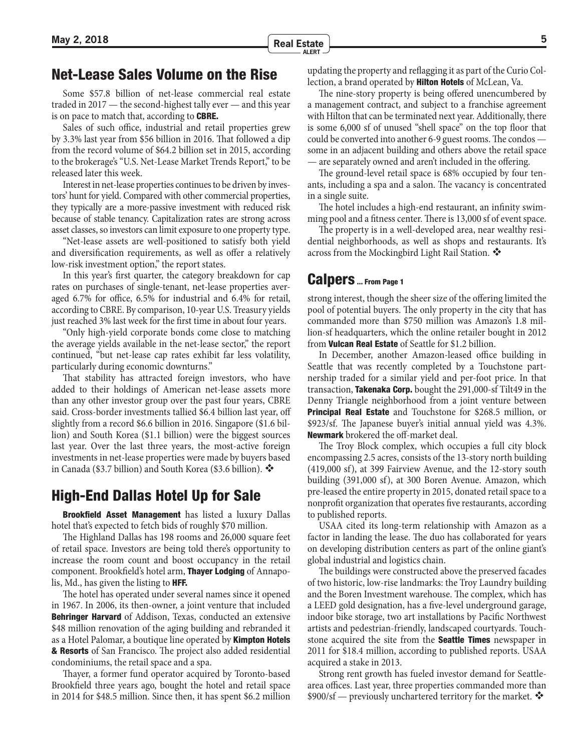<span id="page-4-0"></span>Some \$57.8 billion of net-lease commercial real estate traded in 2017 — the second-highest tally ever — and this year is on pace to match that, according to **CBRE.** 

Sales of such office, industrial and retail properties grew by 3.3% last year from \$56 billion in 2016. That followed a dip from the record volume of \$64.2 billion set in 2015, according to the brokerage's "U.S. Net-Lease Market Trends Report," to be released later this week.

Interest in net-lease properties continues to be driven by investors' hunt for yield. Compared with other commercial properties, they typically are a more-passive investment with reduced risk because of stable tenancy. Capitalization rates are strong across asset classes, so investors can limit exposure to one property type.

"Net-lease assets are well-positioned to satisfy both yield and diversification requirements, as well as offer a relatively low-risk investment option," the report states.

In this year's first quarter, the category breakdown for cap rates on purchases of single-tenant, net-lease properties averaged 6.7% for office, 6.5% for industrial and 6.4% for retail, according to CBRE. By comparison, 10-year U.S. Treasury yields just reached 3% last week for the first time in about four years.

"Only high-yield corporate bonds come close to matching the average yields available in the net-lease sector," the report continued, "but net-lease cap rates exhibit far less volatility, particularly during economic downturns."

That stability has attracted foreign investors, who have added to their holdings of American net-lease assets more than any other investor group over the past four years, CBRE said. Cross-border investments tallied \$6.4 billion last year, off slightly from a record \$6.6 billion in 2016. Singapore (\$1.6 billion) and South Korea (\$1.1 billion) were the biggest sources last year. Over the last three years, the most-active foreign investments in net-lease properties were made by buyers based in Canada (\$3.7 billion) and South Korea (\$3.6 billion).

### High-End Dallas Hotel Up for Sale

Brookfield Asset Management has listed a luxury Dallas hotel that's expected to fetch bids of roughly \$70 million.

The Highland Dallas has 198 rooms and 26,000 square feet of retail space. Investors are being told there's opportunity to increase the room count and boost occupancy in the retail component. Brookfield's hotel arm, **Thayer Lodging** of Annapolis, Md., has given the listing to HFF.

The hotel has operated under several names since it opened in 1967. In 2006, its then-owner, a joint venture that included **Behringer Harvard** of Addison, Texas, conducted an extensive \$48 million renovation of the aging building and rebranded it as a Hotel Palomar, a boutique line operated by **Kimpton Hotels** & Resorts of San Francisco. The project also added residential condominiums, the retail space and a spa.

Thayer, a former fund operator acquired by Toronto-based Brookfield three years ago, bought the hotel and retail space in 2014 for \$48.5 million. Since then, it has spent \$6.2 million

updating the property and reflagging it as part of the Curio Collection, a brand operated by **Hilton Hotels** of McLean, Va.

The nine-story property is being offered unencumbered by a management contract, and subject to a franchise agreement with Hilton that can be terminated next year. Additionally, there is some 6,000 sf of unused "shell space" on the top floor that could be converted into another 6-9 guest rooms. The condos some in an adjacent building and others above the retail space — are separately owned and aren't included in the offering.

The ground-level retail space is 68% occupied by four tenants, including a spa and a salon. The vacancy is concentrated in a single suite.

The hotel includes a high-end restaurant, an infinity swimming pool and a fitness center. There is 13,000 sf of event space.

The property is in a well-developed area, near wealthy residential neighborhoods, as well as shops and restaurants. It's across from the Mockingbird Light Rail Station.

#### [Calpers ... From Page 1](#page-0-0)

strong interest, though the sheer size of the offering limited the pool of potential buyers. The only property in the city that has commanded more than \$750 million was Amazon's 1.8 million-sf headquarters, which the online retailer bought in 2012 from Vulcan Real Estate of Seattle for \$1.2 billion.

In December, another Amazon-leased office building in Seattle that was recently completed by a Touchstone partnership traded for a similar yield and per-foot price. In that transaction, Takenaka Corp. bought the 291,000-sf Tilt49 in the Denny Triangle neighborhood from a joint venture between **Principal Real Estate** and Touchstone for \$268.5 million, or \$923/sf. The Japanese buyer's initial annual yield was 4.3%. **Newmark** brokered the off-market deal.

The Troy Block complex, which occupies a full city block encompassing 2.5 acres, consists of the 13-story north building (419,000 sf), at 399 Fairview Avenue, and the 12-story south building (391,000 sf), at 300 Boren Avenue. Amazon, which pre-leased the entire property in 2015, donated retail space to a nonprofit organization that operates five restaurants, according to published reports.

USAA cited its long-term relationship with Amazon as a factor in landing the lease. The duo has collaborated for years on developing distribution centers as part of the online giant's global industrial and logistics chain.

The buildings were constructed above the preserved facades of two historic, low-rise landmarks: the Troy Laundry building and the Boren Investment warehouse. The complex, which has a LEED gold designation, has a five-level underground garage, indoor bike storage, two art installations by Pacific Northwest artists and pedestrian-friendly, landscaped courtyards. Touchstone acquired the site from the **Seattle Times** newspaper in 2011 for \$18.4 million, according to published reports. USAA acquired a stake in 2013.

Strong rent growth has fueled investor demand for Seattlearea offices. Last year, three properties commanded more than  $$900/sf$  — previously unchartered territory for the market.  $\clubsuit$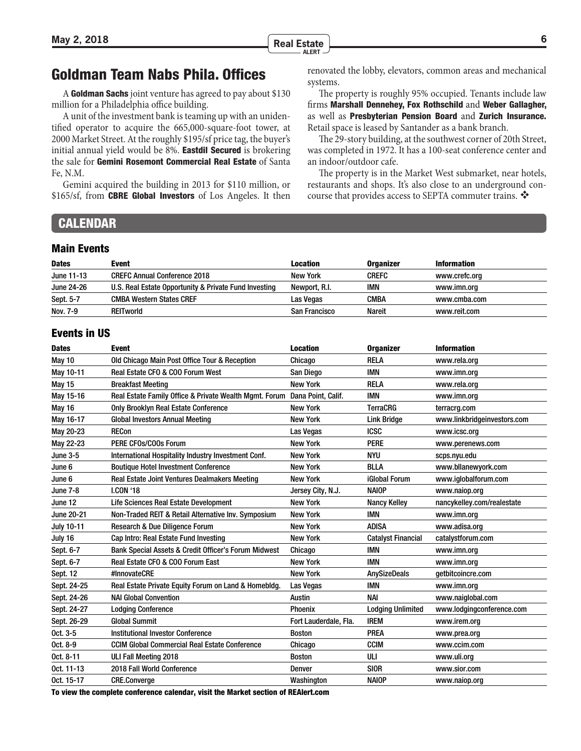systems.

an indoor/outdoor cafe.

## <span id="page-5-0"></span>Goldman Team Nabs Phila. Offices

A Goldman Sachs joint venture has agreed to pay about \$130 million for a Philadelphia office building.

A unit of the investment bank is teaming up with an unidentified operator to acquire the 665,000-square-foot tower, at 2000 Market Street. At the roughly \$195/sf price tag, the buyer's initial annual yield would be 8%. Eastdil Secured is brokering the sale for Gemini Rosemont Commercial Real Estate of Santa Fe, N.M.

Gemini acquired the building in 2013 for \$110 million, or \$165/sf, from **CBRE Global Investors** of Los Angeles. It then

#### **CALENDAR**

#### Main Events

| <b>Dates</b>      | Event                                                 | <b>Location</b> | <b>Organizer</b> | Information   |
|-------------------|-------------------------------------------------------|-----------------|------------------|---------------|
| June 11-13        | <b>CREFC Annual Conference 2018</b>                   | New York        | <b>CREFC</b>     | www.crefc.org |
| <b>June 24-26</b> | U.S. Real Estate Opportunity & Private Fund Investing | Newport, R.I.   | IMN              | www.imn.org   |
| Sept. 5-7         | <b>CMBA Western States CREF</b>                       | Las Vegas       | <b>CMBA</b>      | www.cmba.com  |
| Nov. 7-9          | <b>REITworld</b>                                      | San Francisco   | Nareit           | www.reit.com  |

#### Events in US

| <b>Dates</b>      | <b>Event</b>                                                              | <b>Location</b>       | <b>Organizer</b>          | <b>Information</b>          |
|-------------------|---------------------------------------------------------------------------|-----------------------|---------------------------|-----------------------------|
| May 10            | Old Chicago Main Post Office Tour & Reception                             | Chicago               | <b>RELA</b>               | www.rela.org                |
| May 10-11         | Real Estate CFO & COO Forum West                                          | San Diego             | <b>IMN</b>                | www.imn.org                 |
| <b>May 15</b>     | <b>Breakfast Meeting</b>                                                  | <b>New York</b>       | <b>RELA</b>               | www.rela.org                |
| May 15-16         | Real Estate Family Office & Private Wealth Mgmt. Forum Dana Point, Calif. |                       | <b>IMN</b>                | www.imn.org                 |
| May 16            | <b>Only Brooklyn Real Estate Conference</b>                               | <b>New York</b>       | <b>TerraCRG</b>           | terracrg.com                |
| May 16-17         | <b>Global Investors Annual Meeting</b>                                    | <b>New York</b>       | <b>Link Bridge</b>        | www.linkbridgeinvestors.com |
| May 20-23         | <b>RECon</b>                                                              | Las Vegas             | <b>ICSC</b>               | www.icsc.org                |
| May 22-23         | PERE CFOs/COOs Forum                                                      | <b>New York</b>       | <b>PERE</b>               | www.perenews.com            |
| <b>June 3-5</b>   | International Hospitality Industry Investment Conf.                       | <b>New York</b>       | <b>NYU</b>                | scps.nyu.edu                |
| June 6            | <b>Boutique Hotel Investment Conference</b>                               | <b>New York</b>       | <b>BLLA</b>               | www.bllanewyork.com         |
| June 6            | Real Estate Joint Ventures Dealmakers Meeting                             | <b>New York</b>       | <b>iGlobal Forum</b>      | www.iqlobalforum.com        |
| <b>June 7-8</b>   | <b>I.CON '18</b>                                                          | Jersey City, N.J.     | <b>NAIOP</b>              | www.naiop.org               |
| June 12           | Life Sciences Real Estate Development                                     | <b>New York</b>       | <b>Nancy Kelley</b>       | nancykelley.com/realestate  |
| <b>June 20-21</b> | Non-Traded REIT & Retail Alternative Inv. Symposium                       | <b>New York</b>       | <b>IMN</b>                | www.imn.org                 |
| <b>July 10-11</b> | Research & Due Diligence Forum                                            | <b>New York</b>       | <b>ADISA</b>              | www.adisa.org               |
| July 16           | Cap Intro: Real Estate Fund Investing                                     | <b>New York</b>       | <b>Catalyst Financial</b> | catalystforum.com           |
| Sept. 6-7         | Bank Special Assets & Credit Officer's Forum Midwest                      | Chicago               | <b>IMN</b>                | www.imn.org                 |
| Sept. 6-7         | Real Estate CFO & COO Forum East                                          | <b>New York</b>       | <b>IMN</b>                | www.imn.org                 |
| Sept. 12          | #InnovateCRE                                                              | <b>New York</b>       | AnySizeDeals              | getbitcoincre.com           |
| Sept. 24-25       | Real Estate Private Equity Forum on Land & Homebldg.                      | Las Vegas             | <b>IMN</b>                | www.imn.org                 |
| Sept. 24-26       | <b>NAI Global Convention</b>                                              | <b>Austin</b>         | <b>NAI</b>                | www.naiglobal.com           |
| Sept. 24-27       | <b>Lodging Conference</b>                                                 | Phoenix               | <b>Lodging Unlimited</b>  | www.lodgingconference.com   |
| Sept. 26-29       | <b>Global Summit</b>                                                      | Fort Lauderdale, Fla. | <b>IREM</b>               | www.irem.org                |
| Oct. 3-5          | <b>Institutional Investor Conference</b>                                  | <b>Boston</b>         | PREA                      | www.prea.org                |
| Oct. 8-9          | <b>CCIM Global Commercial Real Estate Conference</b>                      | Chicago               | <b>CCIM</b>               | www.ccim.com                |
| Oct. 8-11         | <b>ULI Fall Meeting 2018</b>                                              | <b>Boston</b>         | ULI                       | www.uli.org                 |
| Oct. 11-13        | 2018 Fall World Conference                                                | Denver                | <b>SIOR</b>               | www.sior.com                |
| Oct. 15-17        | <b>CRE.Converge</b>                                                       | Washington            | <b>NAIOP</b>              | www.naiop.org               |
|                   |                                                                           |                       |                           |                             |

To view the complete conference calendar, visit the Market section of REAlert.com

renovated the lobby, elevators, common areas and mechanical

Retail space is leased by Santander as a bank branch.

The property is roughly 95% occupied. Tenants include law firms Marshall Dennehey, Fox Rothschild and Weber Gallagher, as well as Presbyterian Pension Board and Zurich Insurance.

The 29-story building, at the southwest corner of 20th Street, was completed in 1972. It has a 100-seat conference center and

The property is in the Market West submarket, near hotels, restaurants and shops. It's also close to an underground concourse that provides access to SEPTA commuter trains. ❖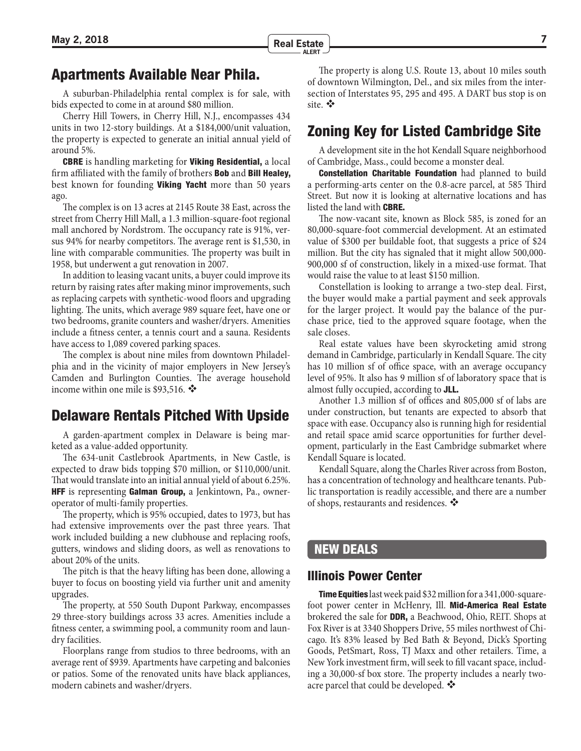## <span id="page-6-0"></span>Apartments Available Near Phila.

A suburban-Philadelphia rental complex is for sale, with bids expected to come in at around \$80 million.

Cherry Hill Towers, in Cherry Hill, N.J., encompasses 434 units in two 12-story buildings. At a \$184,000/unit valuation, the property is expected to generate an initial annual yield of around 5%.

**CBRE** is handling marketing for **Viking Residential**, a local firm affiliated with the family of brothers **Bob** and **Bill Healey**, best known for founding **Viking Yacht** more than 50 years ago.

The complex is on 13 acres at 2145 Route 38 East, across the street from Cherry Hill Mall, a 1.3 million-square-foot regional mall anchored by Nordstrom. The occupancy rate is 91%, versus 94% for nearby competitors. The average rent is \$1,530, in line with comparable communities. The property was built in 1958, but underwent a gut renovation in 2007.

In addition to leasing vacant units, a buyer could improve its return by raising rates after making minor improvements, such as replacing carpets with synthetic-wood floors and upgrading lighting. The units, which average 989 square feet, have one or two bedrooms, granite counters and washer/dryers. Amenities include a fitness center, a tennis court and a sauna. Residents have access to 1,089 covered parking spaces.

The complex is about nine miles from downtown Philadelphia and in the vicinity of major employers in New Jersey's Camden and Burlington Counties. The average household income within one mile is \$93,516.  $\clubsuit$ 

## Delaware Rentals Pitched With Upside

A garden-apartment complex in Delaware is being marketed as a value-added opportunity.

The 634-unit Castlebrook Apartments, in New Castle, is expected to draw bids topping \$70 million, or \$110,000/unit. That would translate into an initial annual yield of about 6.25%. **HFF** is representing Galman Group, a Jenkintown, Pa., owneroperator of multi-family properties.

The property, which is 95% occupied, dates to 1973, but has had extensive improvements over the past three years. That work included building a new clubhouse and replacing roofs, gutters, windows and sliding doors, as well as renovations to about 20% of the units.

The pitch is that the heavy lifting has been done, allowing a buyer to focus on boosting yield via further unit and amenity upgrades.

The property, at 550 South Dupont Parkway, encompasses 29 three-story buildings across 33 acres. Amenities include a fitness center, a swimming pool, a community room and laundry facilities.

Floorplans range from studios to three bedrooms, with an average rent of \$939. Apartments have carpeting and balconies or patios. Some of the renovated units have black appliances, modern cabinets and washer/dryers.

The property is along U.S. Route 13, about 10 miles south of downtown Wilmington, Del., and six miles from the intersection of Interstates 95, 295 and 495. A DART bus stop is on site.  $\mathbf{\hat{v}}$ 

## Zoning Key for Listed Cambridge Site

A development site in the hot Kendall Square neighborhood of Cambridge, Mass., could become a monster deal.

**Constellation Charitable Foundation** had planned to build a performing-arts center on the 0.8-acre parcel, at 585 Third Street. But now it is looking at alternative locations and has listed the land with CBRE.

The now-vacant site, known as Block 585, is zoned for an 80,000-square-foot commercial development. At an estimated value of \$300 per buildable foot, that suggests a price of \$24 million. But the city has signaled that it might allow 500,000- 900,000 sf of construction, likely in a mixed-use format. That would raise the value to at least \$150 million.

Constellation is looking to arrange a two-step deal. First, the buyer would make a partial payment and seek approvals for the larger project. It would pay the balance of the purchase price, tied to the approved square footage, when the sale closes.

Real estate values have been skyrocketing amid strong demand in Cambridge, particularly in Kendall Square. The city has 10 million sf of office space, with an average occupancy level of 95%. It also has 9 million sf of laboratory space that is almost fully occupied, according to JLL.

Another 1.3 million sf of offices and 805,000 sf of labs are under construction, but tenants are expected to absorb that space with ease. Occupancy also is running high for residential and retail space amid scarce opportunities for further development, particularly in the East Cambridge submarket where Kendall Square is located.

Kendall Square, along the Charles River across from Boston, has a concentration of technology and healthcare tenants. Public transportation is readily accessible, and there are a number of shops, restaurants and residences. ❖

### NEW DEALS

#### Illinois Power Center

Time Equities last week paid \$32 million for a 341,000-squarefoot power center in McHenry, Ill. Mid-America Real Estate brokered the sale for DDR, a Beachwood, Ohio, REIT. Shops at Fox River is at 3340 Shoppers Drive, 55 miles northwest of Chicago. It's 83% leased by Bed Bath & Beyond, Dick's Sporting Goods, PetSmart, Ross, TJ Maxx and other retailers. Time, a New York investment firm, will seek to fill vacant space, including a 30,000-sf box store. The property includes a nearly twoacre parcel that could be developed.  $\clubsuit$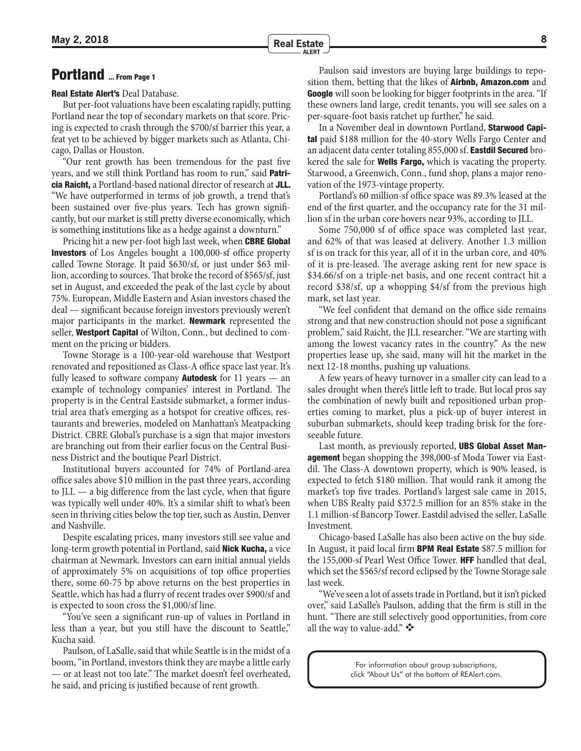# <span id="page-7-0"></span>[Portland ... From Page 1](#page-0-0)

#### Real Estate Alert's Deal Database.

But per-foot valuations have been escalating rapidly, putting Portland near the top of secondary markets on that score. Pricing is expected to crash through the \$700/sf barrier this year, a feat yet to be achieved by bigger markets such as Atlanta, Chicago, Dallas or Houston.

"Our rent growth has been tremendous for the past five years, and we still think Portland has room to run," said **Patri**cia Raicht, a Portland-based national director of research at JLL. "We have outperformed in terms of job growth, a trend that's been sustained over five-plus years. Tech has grown significantly, but our market is still pretty diverse economically, which is something institutions like as a hedge against a downturn."

Pricing hit a new per-foot high last week, when **CBRE Global** Investors of Los Angeles bought a 100,000-sf office property called Towne Storage. It paid \$630/sf, or just under \$63 million, according to sources. That broke the record of \$565/sf, just set in August, and exceeded the peak of the last cycle by about 75%. European, Middle Eastern and Asian investors chased the deal — significant because foreign investors previously weren't major participants in the market. **Newmark** represented the seller, Westport Capital of Wilton, Conn., but declined to comment on the pricing or bidders.

Towne Storage is a 100-year-old warehouse that Westport renovated and repositioned as Class-A office space last year. It's fully leased to software company **Autodesk** for 11 years  $-$  an example of technology companies' interest in Portland. The property is in the Central Eastside submarket, a former industrial area that's emerging as a hotspot for creative offices, restaurants and breweries, modeled on Manhattan's Meatpacking District. CBRE Global's purchase is a sign that major investors are branching out from their earlier focus on the Central Business District and the boutique Pearl District.

Institutional buyers accounted for 74% of Portland-area office sales above \$10 million in the past three years, according to JLL — a big difference from the last cycle, when that figure was typically well under 40%. It's a similar shift to what's been seen in thriving cities below the top tier, such as Austin, Denver and Nashville.

Despite escalating prices, many investors still see value and long-term growth potential in Portland, said **Nick Kucha**, a vice chairman at Newmark. Investors can earn initial annual yields of approximately 5% on acquisitions of top office properties there, some 60-75 bp above returns on the best properties in Seattle, which has had a flurry of recent trades over \$900/sf and is expected to soon cross the \$1,000/sf line.

"You've seen a significant run-up of values in Portland in less than a year, but you still have the discount to Seattle," Kucha said.

Paulson, of LaSalle, said that while Seattle is in the midst of a boom, "in Portland, investors think they are maybe a little early — or at least not too late." The market doesn't feel overheated, he said, and pricing is justified because of rent growth.

Paulson said investors are buying large buildings to reposition them, betting that the likes of **Airbnb, Amazon.com** and Google will soon be looking for bigger footprints in the area. "If these owners land large, credit tenants, you will see sales on a per-square-foot basis ratchet up further," he said.

In a November deal in downtown Portland, Starwood Capital paid \$188 million for the 40-story Wells Fargo Center and an adjacent data center totaling 855,000 sf. Eastdil Secured brokered the sale for **Wells Fargo**, which is vacating the property. Starwood, a Greenwich, Conn., fund shop, plans a major renovation of the 1973-vintage property.

Portland's 60 million-sf office space was 89.3% leased at the end of the first quarter, and the occupancy rate for the 31 million sf in the urban core hovers near 93%, according to JLL.

Some 750,000 sf of office space was completed last year, and 62% of that was leased at delivery. Another 1.3 million sf is on track for this year, all of it in the urban core, and 40% of it is pre-leased. The average asking rent for new space is \$34.66/sf on a triple-net basis, and one recent contract hit a record \$38/sf, up a whopping \$4/sf from the previous high mark, set last year.

"We feel confident that demand on the office side remains strong and that new construction should not pose a significant problem," said Raicht, the JLL researcher. "We are starting with among the lowest vacancy rates in the country." As the new properties lease up, she said, many will hit the market in the next 12-18 months, pushing up valuations.

A few years of heavy turnover in a smaller city can lead to a sales drought when there's little left to trade. But local pros say the combination of newly built and repositioned urban properties coming to market, plus a pick-up of buyer interest in suburban submarkets, should keep trading brisk for the foreseeable future.

Last month, as previously reported, **UBS Global Asset Management** began shopping the 398,000-sf Moda Tower via Eastdil. The Class-A downtown property, which is 90% leased, is expected to fetch \$180 million. That would rank it among the market's top five trades. Portland's largest sale came in 2015, when UBS Realty paid \$372.5 million for an 85% stake in the 1.1 million-sf Bancorp Tower. Eastdil advised the seller, LaSalle Investment.

Chicago-based LaSalle has also been active on the buy side. In August, it paid local firm BPM Real Estate \$87.5 million for the 155,000-sf Pearl West Office Tower. **HFF** handled that deal, which set the \$565/sf record eclipsed by the Towne Storage sale last week.

"We've seen a lot of assets trade in Portland, but it isn't picked over," said LaSalle's Paulson, adding that the firm is still in the hunt. "There are still selectively good opportunities, from core all the way to value-add."

> For information about group subscriptions, click "About Us" at the bottom of REAlert.com.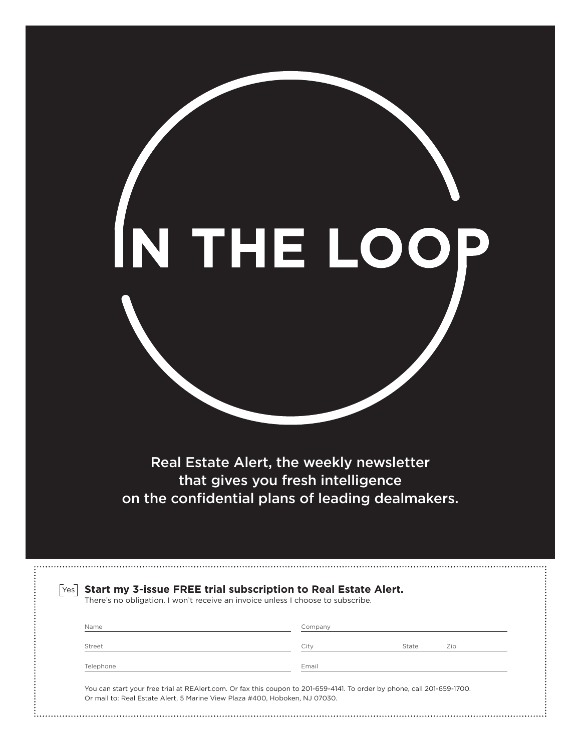Real Estate Alert, the weekly newsletter that gives you fresh intelligence [on the confidential plans of leading dealmakers.](https://www.realert.com/freetrial.pl)

|           | There's no obligation. I won't receive an invoice unless I choose to subscribe. |       |     |
|-----------|---------------------------------------------------------------------------------|-------|-----|
| Name      | Company                                                                         |       |     |
| Street    | City                                                                            | State | Zip |
| Telephone | Email                                                                           |       |     |

IN THE LOOJ D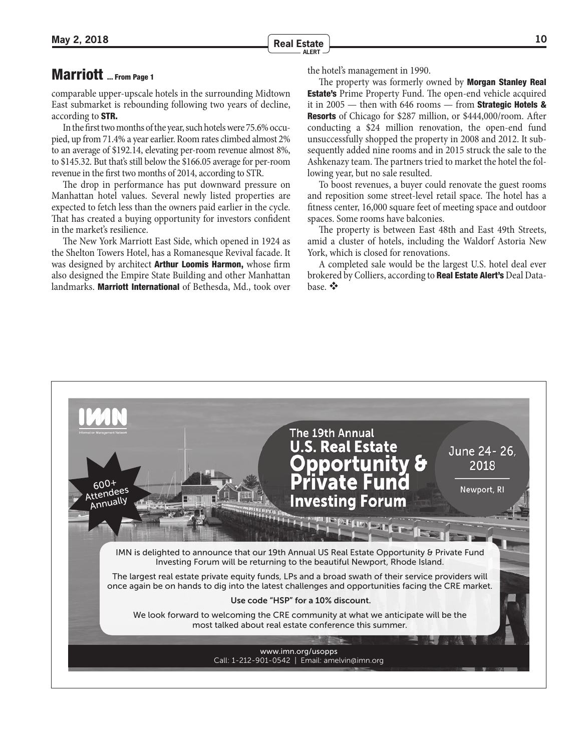# <span id="page-9-0"></span>[Marriott ... From Page 1](#page-0-0)

comparable upper-upscale hotels in the surrounding Midtown East submarket is rebounding following two years of decline, according to STR.

In the first two months of the year, such hotels were 75.6% occupied, up from 71.4% a year earlier. Room rates climbed almost 2% to an average of \$192.14, elevating per-room revenue almost 8%, to \$145.32. But that's still below the \$166.05 average for per-room revenue in the first two months of 2014, according to STR.

The drop in performance has put downward pressure on Manhattan hotel values. Several newly listed properties are expected to fetch less than the owners paid earlier in the cycle. That has created a buying opportunity for investors confident in the market's resilience.

The New York Marriott East Side, which opened in 1924 as the Shelton Towers Hotel, has a Romanesque Revival facade. It was designed by architect **Arthur Loomis Harmon**, whose firm also designed the Empire State Building and other Manhattan landmarks. Marriott International of Bethesda, Md., took over the hotel's management in 1990.

The property was formerly owned by **Morgan Stanley Real Estate's** Prime Property Fund. The open-end vehicle acquired it in  $2005$  — then with 646 rooms — from **Strategic Hotels & Resorts** of Chicago for \$287 million, or \$444,000/room. After conducting a \$24 million renovation, the open-end fund unsuccessfully shopped the property in 2008 and 2012. It subsequently added nine rooms and in 2015 struck the sale to the Ashkenazy team. The partners tried to market the hotel the following year, but no sale resulted.

To boost revenues, a buyer could renovate the guest rooms and reposition some street-level retail space. The hotel has a fitness center, 16,000 square feet of meeting space and outdoor spaces. Some rooms have balconies.

The property is between East 48th and East 49th Streets, amid a cluster of hotels, including the Waldorf Astoria New York, which is closed for renovations.

A completed sale would be the largest U.S. hotel deal ever brokered by Colliers, according to Real Estate Alert's Deal Database.

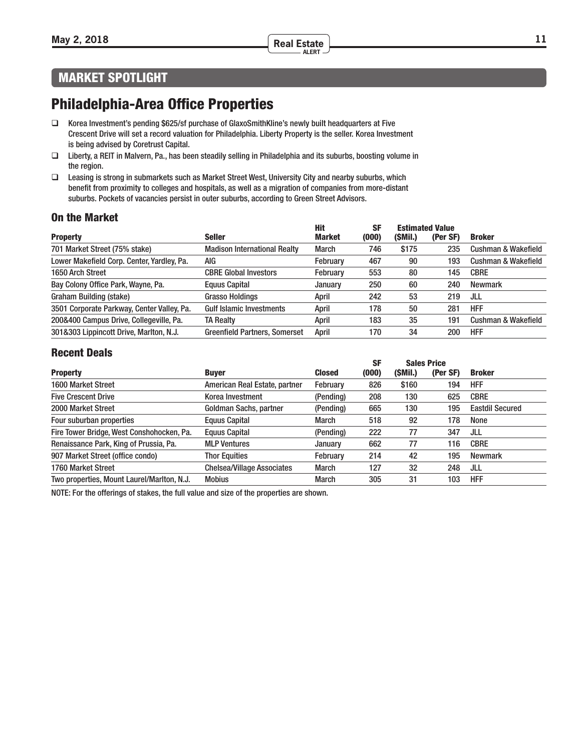#### **May 2, 2018 <sup>11</sup> Real Estate ALERT**

## MARKET SPOTLIGHT

# Philadelphia-Area Office Properties

- □ Korea Investment's pending \$625/sf purchase of GlaxoSmithKline's newly built headquarters at Five Crescent Drive will set a record valuation for Philadelphia. Liberty Property is the seller. Korea Investment is being advised by Coretrust Capital.
- Liberty, a REIT in Malvern, Pa., has been steadily selling in Philadelphia and its suburbs, boosting volume in the region.
- Leasing is strong in submarkets such as Market Street West, University City and nearby suburbs, which benefit from proximity to colleges and hospitals, as well as a migration of companies from more-distant suburbs. Pockets of vacancies persist in outer suburbs, according to Green Street Advisors.

#### On the Market

|                                            |                                      | <b>Hit</b>    | <b>SF</b> |         | <b>Estimated Value</b> |                                |
|--------------------------------------------|--------------------------------------|---------------|-----------|---------|------------------------|--------------------------------|
| <b>Property</b>                            | <b>Seller</b>                        | <b>Market</b> | (000)     | (SMil.) | (Per SF)               | <b>Broker</b>                  |
| 701 Market Street (75% stake)              | <b>Madison International Realty</b>  | <b>March</b>  | 746       | \$175   | 235                    | <b>Cushman &amp; Wakefield</b> |
| Lower Makefield Corp. Center, Yardley, Pa. | AIG                                  | February      | 467       | 90      | 193                    | Cushman & Wakefield            |
| 1650 Arch Street                           | <b>CBRE Global Investors</b>         | February      | 553       | 80      | 145                    | <b>CBRE</b>                    |
| Bay Colony Office Park, Wayne, Pa.         | Equus Capital                        | January       | 250       | 60      | 240                    | <b>Newmark</b>                 |
| Graham Building (stake)                    | <b>Grasso Holdings</b>               | April         | 242       | 53      | 219                    | JLL                            |
| 3501 Corporate Parkway, Center Valley, Pa. | <b>Gulf Islamic Investments</b>      | April         | 178       | 50      | 281                    | <b>HFF</b>                     |
| 200&400 Campus Drive, Collegeville, Pa.    | <b>TA Realty</b>                     | April         | 183       | 35      | 191                    | <b>Cushman &amp; Wakefield</b> |
| 301&303 Lippincott Drive, Marlton, N.J.    | <b>Greenfield Partners, Somerset</b> | April         | 170       | 34      | 200                    | <b>HFF</b>                     |

#### Recent Deals

|                                            |                                   |               | <b>SF</b> |         | <b>Sales Price</b> |                        |
|--------------------------------------------|-----------------------------------|---------------|-----------|---------|--------------------|------------------------|
| <b>Property</b>                            | <b>Buyer</b>                      | <b>Closed</b> | (000)     | (SMil.) | (Per SF)           | <b>Broker</b>          |
| 1600 Market Street                         | American Real Estate, partner     | February      | 826       | \$160   | 194                | <b>HFF</b>             |
| <b>Five Crescent Drive</b>                 | Korea Investment                  | (Pending)     | 208       | 130     | 625                | <b>CBRE</b>            |
| 2000 Market Street                         | Goldman Sachs, partner            | (Pending)     | 665       | 130     | 195                | <b>Eastdil Secured</b> |
| Four suburban properties                   | <b>Equus Capital</b>              | March         | 518       | 92      | 178                | None                   |
| Fire Tower Bridge, West Conshohocken, Pa.  | Equus Capital                     | (Pending)     | 222       | 77      | 347                | JLL                    |
| Renaissance Park, King of Prussia, Pa.     | <b>MLP Ventures</b>               | January       | 662       | 77      | 116                | <b>CBRE</b>            |
| 907 Market Street (office condo)           | <b>Thor Equities</b>              | February      | 214       | 42      | 195                | <b>Newmark</b>         |
| 1760 Market Street                         | <b>Chelsea/Village Associates</b> | March         | 127       | 32      | 248                | JLL                    |
| Two properties, Mount Laurel/Marlton, N.J. | <b>Mobius</b>                     | March         | 305       | 31      | 103                | <b>HFF</b>             |

NOTE: For the offerings of stakes, the full value and size of the properties are shown.